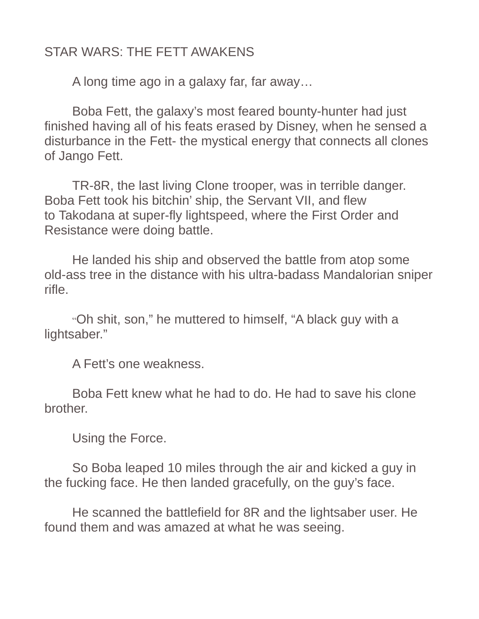## STAR WARS: THE FETT AWAKENS

A long time ago in a galaxy far, far away…

Boba Fett, the galaxy's most feared bounty-hunter had just finished having all of his feats erased by Disney, when he sensed a disturbance in the Fett- the mystical energy that connects all clones of Jango Fett.

TR-8R, the last living Clone trooper, was in terrible danger. Boba Fett took his bitchin' ship, the Servant VII, and flew to Takodana at super-fly lightspeed, where the First Order and Resistance were doing battle.

He landed his ship and observed the battle from atop some old-ass tree in the distance with his ultra-badass Mandalorian sniper rifle.

"Oh shit, son," he muttered to himself, "A black guy with a lightsaber."

A Fett's one weakness.

Boba Fett knew what he had to do. He had to save his clone brother.

Using the Force.

So Boba leaped 10 miles through the air and kicked a guy in the fucking face. He then landed gracefully, on the guy's face.

He scanned the battlefield for 8R and the lightsaber user. He found them and was amazed at what he was seeing.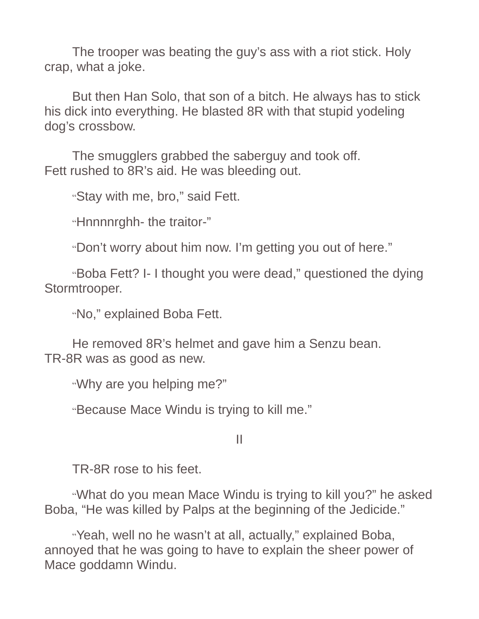The trooper was beating the guy's ass with a riot stick. Holy crap, what a joke.

But then Han Solo, that son of a bitch. He always has to stick his dick into everything. He blasted 8R with that stupid yodeling dog's crossbow.

The smugglers grabbed the saberguy and took off. Fett rushed to 8R's aid. He was bleeding out.

"Stay with me, bro," said Fett.

"Hnnnnrghh- the traitor-"

"Don't worry about him now. I'm getting you out of here."

"Boba Fett? I- I thought you were dead," questioned the dying Stormtrooper.

"No," explained Boba Fett.

He removed 8R's helmet and gave him a Senzu bean. TR-8R was as good as new.

"Why are you helping me?"

"Because Mace Windu is trying to kill me."

II

TR-8R rose to his feet.

"What do you mean Mace Windu is trying to kill you?" he asked Boba, "He was killed by Palps at the beginning of the Jedicide."

"Yeah, well no he wasn't at all, actually," explained Boba, annoyed that he was going to have to explain the sheer power of Mace goddamn Windu.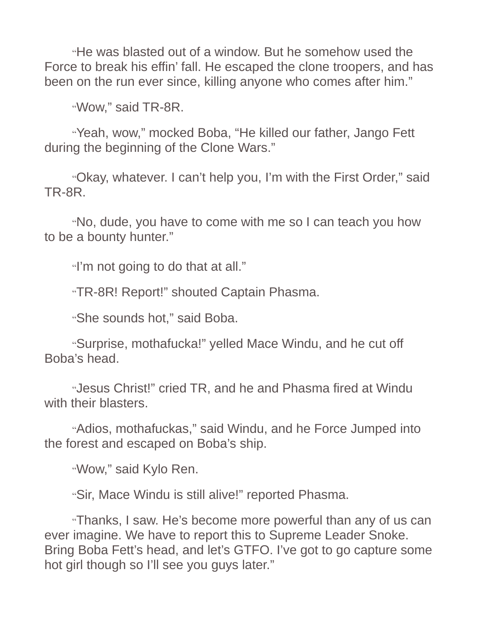"He was blasted out of a window. But he somehow used the Force to break his effin' fall. He escaped the clone troopers, and has been on the run ever since, killing anyone who comes after him."

"Wow," said TR-8R.

"Yeah, wow," mocked Boba, "He killed our father, Jango Fett during the beginning of the Clone Wars."

"Okay, whatever. I can't help you, I'm with the First Order," said TR-8R.

"No, dude, you have to come with me so I can teach you how to be a bounty hunter."

"I'm not going to do that at all."

"TR-8R! Report!" shouted Captain Phasma.

"She sounds hot," said Boba.

"Surprise, mothafucka!" yelled Mace Windu, and he cut off Boba's head.

"Jesus Christ!" cried TR, and he and Phasma fired at Windu with their blasters.

"Adios, mothafuckas," said Windu, and he Force Jumped into the forest and escaped on Boba's ship.

"Wow," said Kylo Ren.

"Sir, Mace Windu is still alive!" reported Phasma.

"Thanks, I saw. He's become more powerful than any of us can ever imagine. We have to report this to Supreme Leader Snoke. Bring Boba Fett's head, and let's GTFO. I've got to go capture some hot girl though so I'll see you guys later."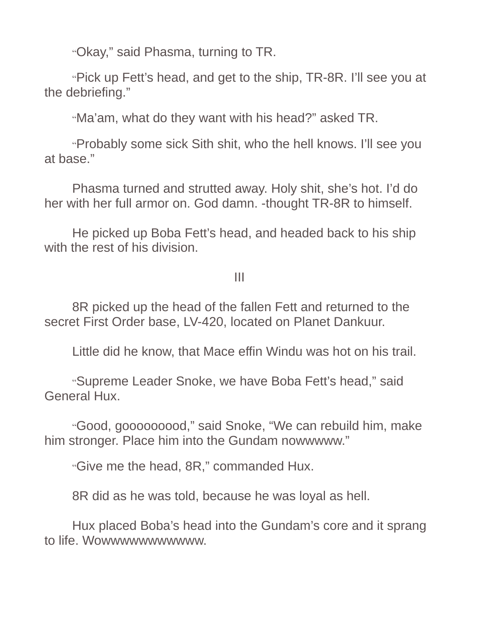"Okay," said Phasma, turning to TR.

"Pick up Fett's head, and get to the ship, TR-8R. I'll see you at the debriefing."

"Ma'am, what do they want with his head?" asked TR.

"Probably some sick Sith shit, who the hell knows. I'll see you at base."

Phasma turned and strutted away. Holy shit, she's hot. I'd do her with her full armor on. God damn. -thought TR-8R to himself.

He picked up Boba Fett's head, and headed back to his ship with the rest of his division.

III

8R picked up the head of the fallen Fett and returned to the secret First Order base, LV-420, located on Planet Dankuur.

Little did he know, that Mace effin Windu was hot on his trail.

"Supreme Leader Snoke, we have Boba Fett's head," said General Hux.

"Good, gooooooood," said Snoke, "We can rebuild him, make him stronger. Place him into the Gundam nowwwww."

"Give me the head, 8R," commanded Hux.

8R did as he was told, because he was loyal as hell.

Hux placed Boba's head into the Gundam's core and it sprang to life. Wowwwwwwwwwww.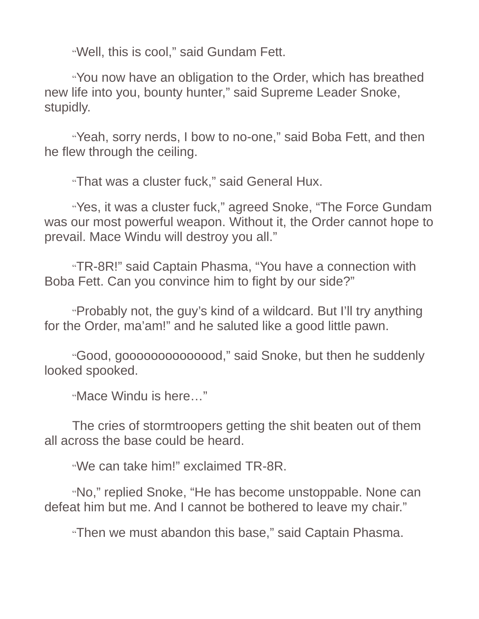"Well, this is cool," said Gundam Fett.

"You now have an obligation to the Order, which has breathed new life into you, bounty hunter," said Supreme Leader Snoke, stupidly.

"Yeah, sorry nerds, I bow to no-one," said Boba Fett, and then he flew through the ceiling.

"That was a cluster fuck," said General Hux.

"Yes, it was a cluster fuck," agreed Snoke, "The Force Gundam was our most powerful weapon. Without it, the Order cannot hope to prevail. Mace Windu will destroy you all."

"TR-8R!" said Captain Phasma, "You have a connection with Boba Fett. Can you convince him to fight by our side?"

"Probably not, the guy's kind of a wildcard. But I'll try anything for the Order, ma'am!" and he saluted like a good little pawn.

"Good, goooooooooooood," said Snoke, but then he suddenly looked spooked.

"Mace Windu is here…"

The cries of stormtroopers getting the shit beaten out of them all across the base could be heard.

"We can take him!" exclaimed TR-8R.

"No," replied Snoke, "He has become unstoppable. None can defeat him but me. And I cannot be bothered to leave my chair."

"Then we must abandon this base," said Captain Phasma.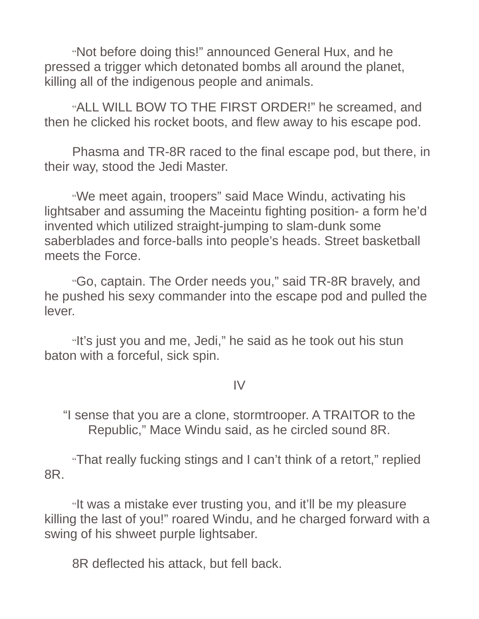"Not before doing this!" announced General Hux, and he pressed a trigger which detonated bombs all around the planet, killing all of the indigenous people and animals.

"ALL WILL BOW TO THE FIRST ORDER!" he screamed, and then he clicked his rocket boots, and flew away to his escape pod.

Phasma and TR-8R raced to the final escape pod, but there, in their way, stood the Jedi Master.

"We meet again, troopers" said Mace Windu, activating his lightsaber and assuming the Maceintu fighting position- a form he'd invented which utilized straight-jumping to slam-dunk some saberblades and force-balls into people's heads. Street basketball meets the Force.

"Go, captain. The Order needs you," said TR-8R bravely, and he pushed his sexy commander into the escape pod and pulled the lever.

"It's just you and me, Jedi," he said as he took out his stun baton with a forceful, sick spin.

#### IV

"I sense that you are a clone, stormtrooper. A TRAITOR to the Republic," Mace Windu said, as he circled sound 8R.

"That really fucking stings and I can't think of a retort," replied 8R.

"It was a mistake ever trusting you, and it'll be my pleasure killing the last of you!" roared Windu, and he charged forward with a swing of his shweet purple lightsaber.

8R deflected his attack, but fell back.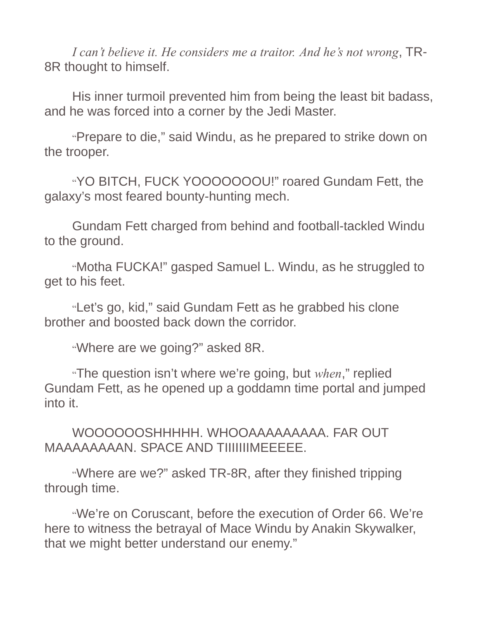*I can't believe it. He considers me a traitor. And he's not wrong*, TR-8R thought to himself.

His inner turmoil prevented him from being the least bit badass, and he was forced into a corner by the Jedi Master.

"Prepare to die," said Windu, as he prepared to strike down on the trooper.

"YO BITCH, FUCK YOOOOOOOU!" roared Gundam Fett, the galaxy's most feared bounty-hunting mech.

Gundam Fett charged from behind and football-tackled Windu to the ground.

"Motha FUCKA!" gasped Samuel L. Windu, as he struggled to get to his feet.

"Let's go, kid," said Gundam Fett as he grabbed his clone brother and boosted back down the corridor.

"Where are we going?" asked 8R.

"The question isn't where we're going, but *when*," replied Gundam Fett, as he opened up a goddamn time portal and jumped into it.

WOOOOOOSHHHHH. WHOOAAAAAAAAA. FAR OUT MAAAAAAAAN. SPACE AND TIIIIIIIMEEEEE.

"Where are we?" asked TR-8R, after they finished tripping through time.

"We're on Coruscant, before the execution of Order 66. We're here to witness the betrayal of Mace Windu by Anakin Skywalker, that we might better understand our enemy."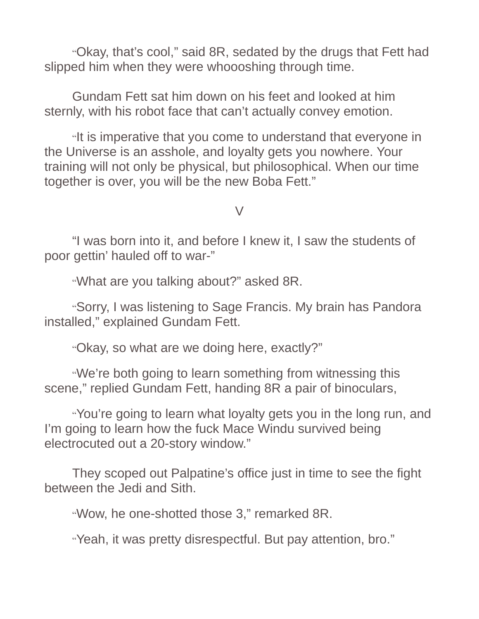"Okay, that's cool," said 8R, sedated by the drugs that Fett had slipped him when they were whoooshing through time.

Gundam Fett sat him down on his feet and looked at him sternly, with his robot face that can't actually convey emotion.

"It is imperative that you come to understand that everyone in the Universe is an asshole, and loyalty gets you nowhere. Your training will not only be physical, but philosophical. When our time together is over, you will be the new Boba Fett."

 $\sqrt{ }$ 

"I was born into it, and before I knew it, I saw the students of poor gettin' hauled off to war-"

"What are you talking about?" asked 8R.

"Sorry, I was listening to Sage Francis. My brain has Pandora installed," explained Gundam Fett.

"Okay, so what are we doing here, exactly?"

"We're both going to learn something from witnessing this scene," replied Gundam Fett, handing 8R a pair of binoculars,

"You're going to learn what loyalty gets you in the long run, and I'm going to learn how the fuck Mace Windu survived being electrocuted out a 20-story window."

They scoped out Palpatine's office just in time to see the fight between the Jedi and Sith.

"Wow, he one-shotted those 3," remarked 8R.

"Yeah, it was pretty disrespectful. But pay attention, bro."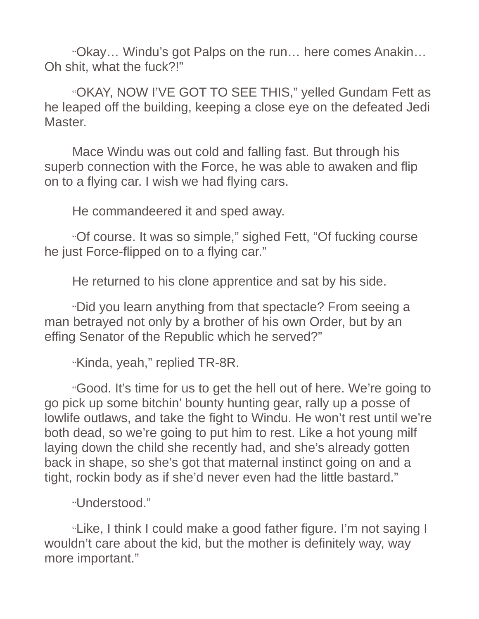"Okay… Windu's got Palps on the run… here comes Anakin… Oh shit, what the fuck?!"

"OKAY, NOW I'VE GOT TO SEE THIS," yelled Gundam Fett as he leaped off the building, keeping a close eye on the defeated Jedi Master.

Mace Windu was out cold and falling fast. But through his superb connection with the Force, he was able to awaken and flip on to a flying car. I wish we had flying cars.

He commandeered it and sped away.

"Of course. It was so simple," sighed Fett, "Of fucking course he just Force-flipped on to a flying car."

He returned to his clone apprentice and sat by his side.

"Did you learn anything from that spectacle? From seeing a man betrayed not only by a brother of his own Order, but by an effing Senator of the Republic which he served?"

"Kinda, yeah," replied TR-8R.

"Good. It's time for us to get the hell out of here. We're going to go pick up some bitchin' bounty hunting gear, rally up a posse of lowlife outlaws, and take the fight to Windu. He won't rest until we're both dead, so we're going to put him to rest. Like a hot young milf laying down the child she recently had, and she's already gotten back in shape, so she's got that maternal instinct going on and a tight, rockin body as if she'd never even had the little bastard."

"Understood."

"Like, I think I could make a good father figure. I'm not saying I wouldn't care about the kid, but the mother is definitely way, way more important."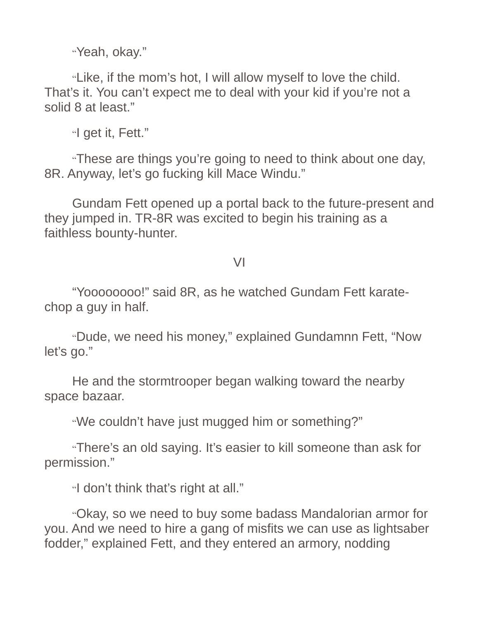"Yeah, okay."

"Like, if the mom's hot, I will allow myself to love the child. That's it. You can't expect me to deal with your kid if you're not a solid 8 at least."

"I get it, Fett."

"These are things you're going to need to think about one day, 8R. Anyway, let's go fucking kill Mace Windu."

Gundam Fett opened up a portal back to the future-present and they jumped in. TR-8R was excited to begin his training as a faithless bounty-hunter.

VI

"Yoooooooo!" said 8R, as he watched Gundam Fett karatechop a guy in half.

"Dude, we need his money," explained Gundamnn Fett, "Now let's go."

He and the stormtrooper began walking toward the nearby space bazaar.

"We couldn't have just mugged him or something?"

"There's an old saying. It's easier to kill someone than ask for permission."

"I don't think that's right at all."

"Okay, so we need to buy some badass Mandalorian armor for you. And we need to hire a gang of misfits we can use as lightsaber fodder," explained Fett, and they entered an armory, nodding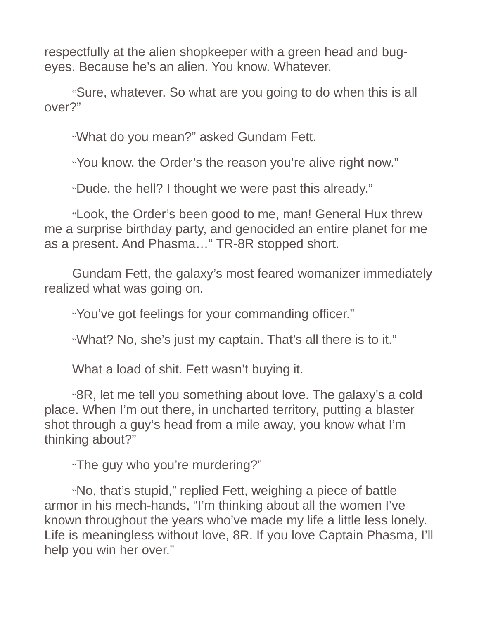respectfully at the alien shopkeeper with a green head and bugeyes. Because he's an alien. You know. Whatever.

"Sure, whatever. So what are you going to do when this is all over?"

"What do you mean?" asked Gundam Fett.

"You know, the Order's the reason you're alive right now."

"Dude, the hell? I thought we were past this already."

"Look, the Order's been good to me, man! General Hux threw me a surprise birthday party, and genocided an entire planet for me as a present. And Phasma…" TR-8R stopped short.

Gundam Fett, the galaxy's most feared womanizer immediately realized what was going on.

"You've got feelings for your commanding officer."

"What? No, she's just my captain. That's all there is to it."

What a load of shit. Fett wasn't buying it.

"8R, let me tell you something about love. The galaxy's a cold place. When I'm out there, in uncharted territory, putting a blaster shot through a guy's head from a mile away, you know what I'm thinking about?"

"The guy who you're murdering?"

"No, that's stupid," replied Fett, weighing a piece of battle armor in his mech-hands, "I'm thinking about all the women I've known throughout the years who've made my life a little less lonely. Life is meaningless without love, 8R. If you love Captain Phasma, I'll help you win her over."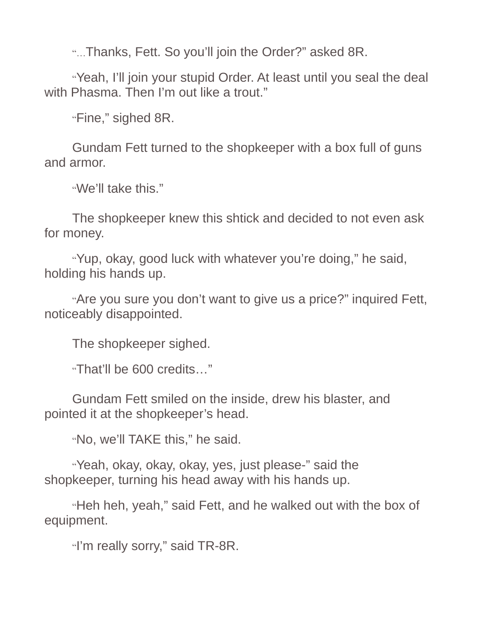"…Thanks, Fett. So you'll join the Order?" asked 8R.

"Yeah, I'll join your stupid Order. At least until you seal the deal with Phasma. Then I'm out like a trout."

"Fine," sighed 8R.

Gundam Fett turned to the shopkeeper with a box full of guns and armor.

"We'll take this."

The shopkeeper knew this shtick and decided to not even ask for money.

"Yup, okay, good luck with whatever you're doing," he said, holding his hands up.

"Are you sure you don't want to give us a price?" inquired Fett, noticeably disappointed.

The shopkeeper sighed.

"That'll be 600 credits…"

Gundam Fett smiled on the inside, drew his blaster, and pointed it at the shopkeeper's head.

"No, we'll TAKE this," he said.

"Yeah, okay, okay, okay, yes, just please-" said the shopkeeper, turning his head away with his hands up.

"Heh heh, yeah," said Fett, and he walked out with the box of equipment.

"I'm really sorry," said TR-8R.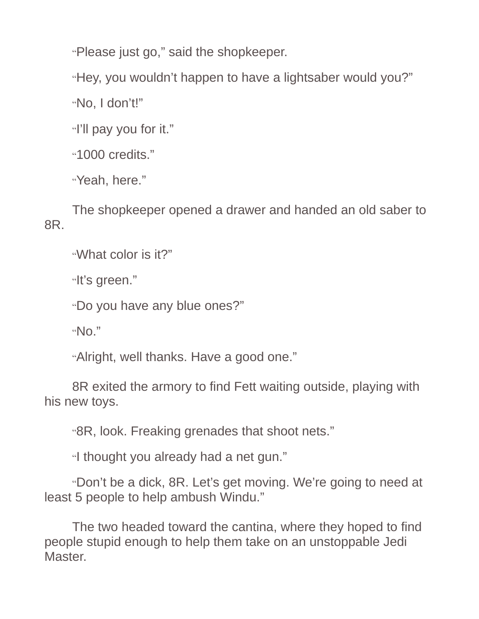"Please just go," said the shopkeeper.

"Hey, you wouldn't happen to have a lightsaber would you?"

"No, I don't!"

"I'll pay you for it."

"1000 credits."

"Yeah, here."

The shopkeeper opened a drawer and handed an old saber to 8R.

"What color is it?"

"It's green."

"Do you have any blue ones?"

" $NO."$ 

"Alright, well thanks. Have a good one."

8R exited the armory to find Fett waiting outside, playing with his new toys.

"8R, look. Freaking grenades that shoot nets."

"I thought you already had a net gun."

"Don't be a dick, 8R. Let's get moving. We're going to need at least 5 people to help ambush Windu."

The two headed toward the cantina, where they hoped to find people stupid enough to help them take on an unstoppable Jedi **Master**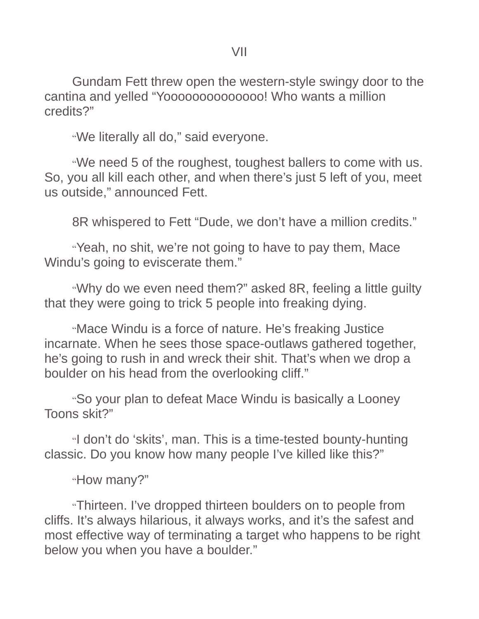Gundam Fett threw open the western-style swingy door to the cantina and yelled "Yoooooooooooooo! Who wants a million credits?"

"We literally all do," said everyone.

"We need 5 of the roughest, toughest ballers to come with us. So, you all kill each other, and when there's just 5 left of you, meet us outside," announced Fett.

8R whispered to Fett "Dude, we don't have a million credits."

"Yeah, no shit, we're not going to have to pay them, Mace Windu's going to eviscerate them."

"Why do we even need them?" asked 8R, feeling a little guilty that they were going to trick 5 people into freaking dying.

"Mace Windu is a force of nature. He's freaking Justice incarnate. When he sees those space-outlaws gathered together, he's going to rush in and wreck their shit. That's when we drop a boulder on his head from the overlooking cliff."

"So your plan to defeat Mace Windu is basically a Looney Toons skit?"

"I don't do 'skits', man. This is a time-tested bounty-hunting classic. Do you know how many people I've killed like this?"

"How many?"

"Thirteen. I've dropped thirteen boulders on to people from cliffs. It's always hilarious, it always works, and it's the safest and most effective way of terminating a target who happens to be right below you when you have a boulder."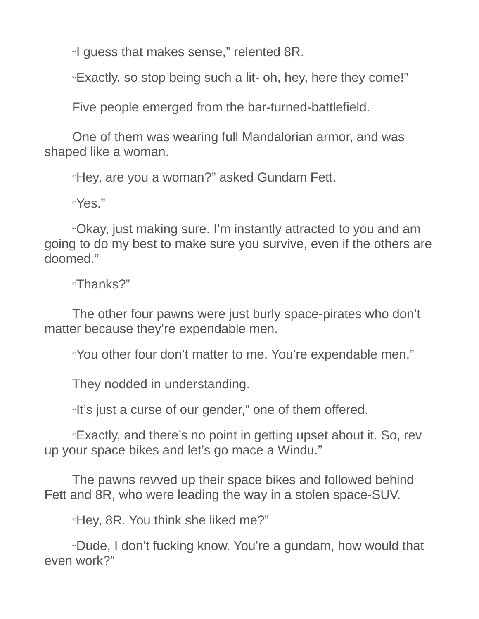"I guess that makes sense," relented 8R.

"Exactly, so stop being such a lit- oh, hey, here they come!"

Five people emerged from the bar-turned-battlefield.

One of them was wearing full Mandalorian armor, and was shaped like a woman.

"Hey, are you a woman?" asked Gundam Fett.

"Yes."

"Okay, just making sure. I'm instantly attracted to you and am going to do my best to make sure you survive, even if the others are doomed."

"Thanks?"

The other four pawns were just burly space-pirates who don't matter because they're expendable men.

"You other four don't matter to me. You're expendable men."

They nodded in understanding.

"It's just a curse of our gender," one of them offered.

"Exactly, and there's no point in getting upset about it. So, rev up your space bikes and let's go mace a Windu."

The pawns revved up their space bikes and followed behind Fett and 8R, who were leading the way in a stolen space-SUV.

"Hey, 8R. You think she liked me?"

"Dude, I don't fucking know. You're a gundam, how would that even work?"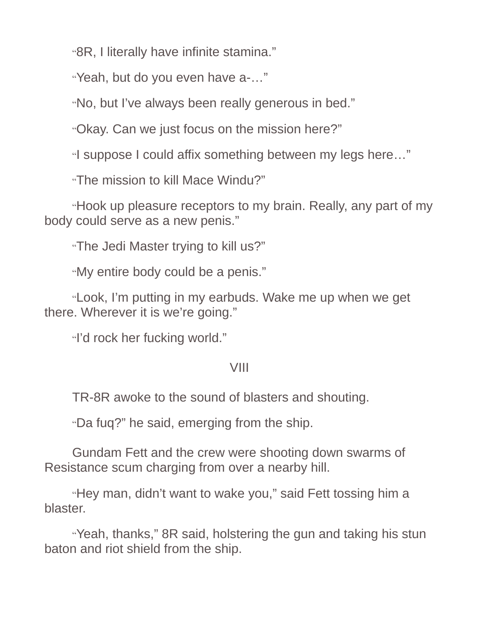"8R, I literally have infinite stamina."

"Yeah, but do you even have a-…"

"No, but I've always been really generous in bed."

"Okay. Can we just focus on the mission here?"

"I suppose I could affix something between my legs here…"

"The mission to kill Mace Windu?"

"Hook up pleasure receptors to my brain. Really, any part of my body could serve as a new penis."

"The Jedi Master trying to kill us?"

"My entire body could be a penis."

"Look, I'm putting in my earbuds. Wake me up when we get there. Wherever it is we're going."

"I'd rock her fucking world."

### VIII

TR-8R awoke to the sound of blasters and shouting.

"Da fuq?" he said, emerging from the ship.

Gundam Fett and the crew were shooting down swarms of Resistance scum charging from over a nearby hill.

"Hey man, didn't want to wake you," said Fett tossing him a blaster.

"Yeah, thanks," 8R said, holstering the gun and taking his stun baton and riot shield from the ship.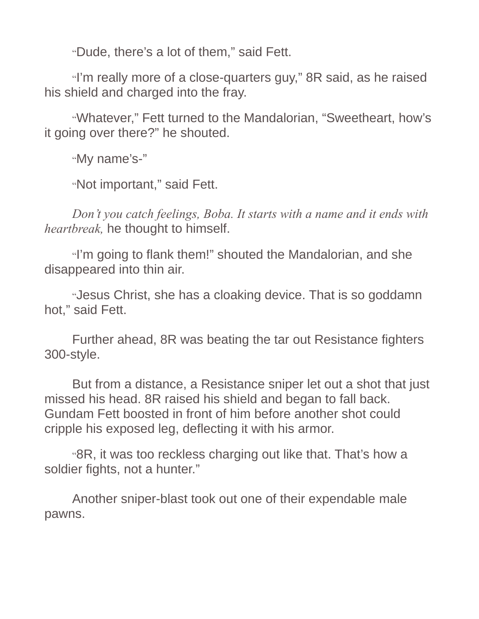"Dude, there's a lot of them," said Fett.

"I'm really more of a close-quarters guy," 8R said, as he raised his shield and charged into the fray.

"Whatever," Fett turned to the Mandalorian, "Sweetheart, how's it going over there?" he shouted.

"My name's-"

"Not important," said Fett.

*Don't you catch feelings, Boba. It starts with a name and it ends with heartbreak,* he thought to himself.

"I'm going to flank them!" shouted the Mandalorian, and she disappeared into thin air.

"Jesus Christ, she has a cloaking device. That is so goddamn hot," said Fett.

Further ahead, 8R was beating the tar out Resistance fighters 300-style.

But from a distance, a Resistance sniper let out a shot that just missed his head. 8R raised his shield and began to fall back. Gundam Fett boosted in front of him before another shot could cripple his exposed leg, deflecting it with his armor.

"8R, it was too reckless charging out like that. That's how a soldier fights, not a hunter."

Another sniper-blast took out one of their expendable male pawns.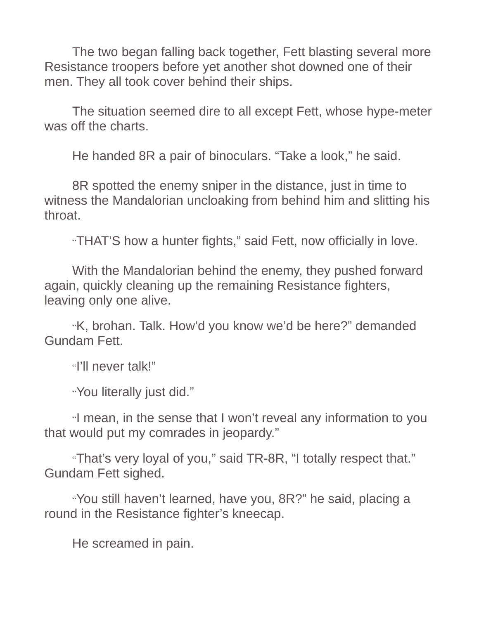The two began falling back together, Fett blasting several more Resistance troopers before yet another shot downed one of their men. They all took cover behind their ships.

The situation seemed dire to all except Fett, whose hype-meter was off the charts.

He handed 8R a pair of binoculars. "Take a look," he said.

8R spotted the enemy sniper in the distance, just in time to witness the Mandalorian uncloaking from behind him and slitting his throat.

"THAT'S how a hunter fights," said Fett, now officially in love.

With the Mandalorian behind the enemy, they pushed forward again, quickly cleaning up the remaining Resistance fighters, leaving only one alive.

"K, brohan. Talk. How'd you know we'd be here?" demanded Gundam Fett.

"I'll never talk!"

"You literally just did."

"I mean, in the sense that I won't reveal any information to you that would put my comrades in jeopardy."

"That's very loyal of you," said TR-8R, "I totally respect that." Gundam Fett sighed.

"You still haven't learned, have you, 8R?" he said, placing a round in the Resistance fighter's kneecap.

He screamed in pain.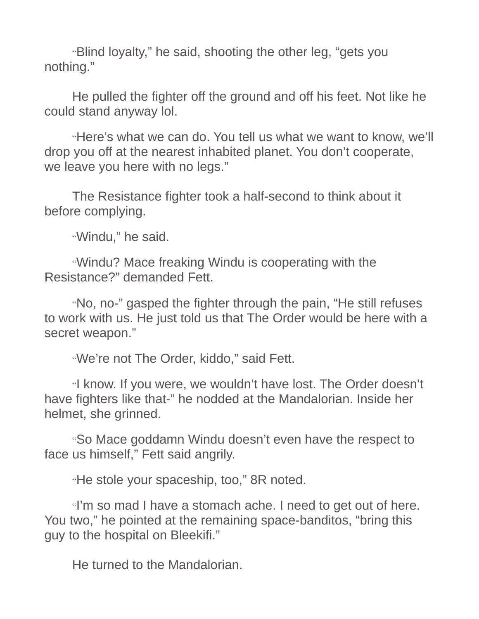"Blind loyalty," he said, shooting the other leg, "gets you nothing."

He pulled the fighter off the ground and off his feet. Not like he could stand anyway lol.

"Here's what we can do. You tell us what we want to know, we'll drop you off at the nearest inhabited planet. You don't cooperate, we leave you here with no legs."

The Resistance fighter took a half-second to think about it before complying.

"Windu," he said.

"Windu? Mace freaking Windu is cooperating with the Resistance?" demanded Fett.

"No, no-" gasped the fighter through the pain, "He still refuses to work with us. He just told us that The Order would be here with a secret weapon."

"We're not The Order, kiddo," said Fett.

"I know. If you were, we wouldn't have lost. The Order doesn't have fighters like that-" he nodded at the Mandalorian. Inside her helmet, she grinned.

"So Mace goddamn Windu doesn't even have the respect to face us himself," Fett said angrily.

"He stole your spaceship, too," 8R noted.

"I'm so mad I have a stomach ache. I need to get out of here. You two," he pointed at the remaining space-banditos, "bring this guy to the hospital on Bleekifi."

He turned to the Mandalorian.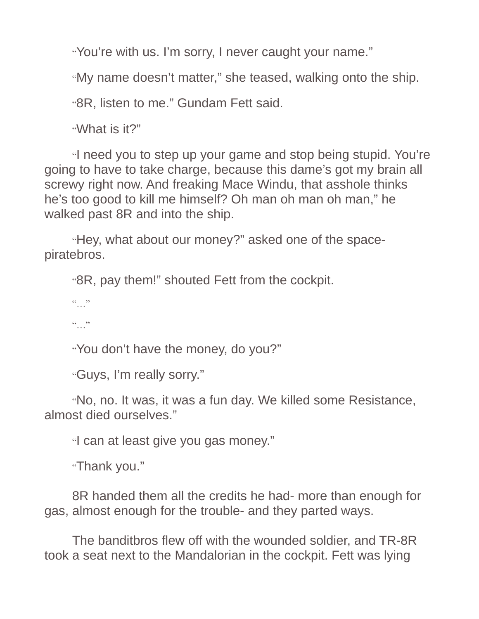"You're with us. I'm sorry, I never caught your name."

"My name doesn't matter," she teased, walking onto the ship.

"8R, listen to me." Gundam Fett said.

"What is it?"

"I need you to step up your game and stop being stupid. You're going to have to take charge, because this dame's got my brain all screwy right now. And freaking Mace Windu, that asshole thinks he's too good to kill me himself? Oh man oh man oh man," he walked past 8R and into the ship.

"Hey, what about our money?" asked one of the spacepiratebros.

"8R, pay them!" shouted Fett from the cockpit.

"

 $66$  ... 22

"You don't have the money, do you?"

"Guys, I'm really sorry."

"No, no. It was, it was a fun day. We killed some Resistance, almost died ourselves."

"I can at least give you gas money."

"Thank you."

8R handed them all the credits he had- more than enough for gas, almost enough for the trouble- and they parted ways.

The banditbros flew off with the wounded soldier, and TR-8R took a seat next to the Mandalorian in the cockpit. Fett was lying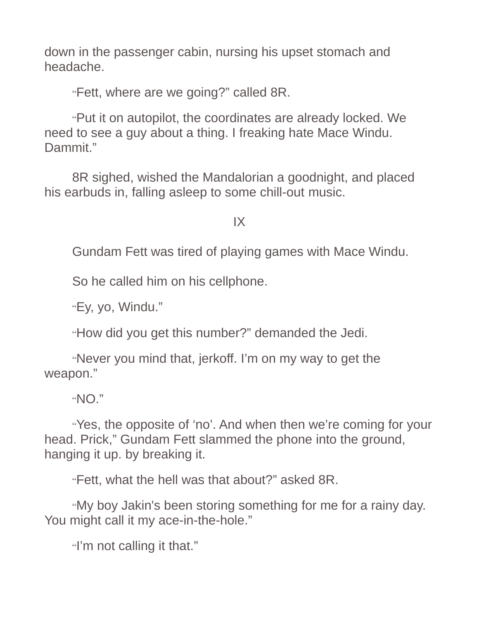down in the passenger cabin, nursing his upset stomach and headache.

"Fett, where are we going?" called 8R.

"Put it on autopilot, the coordinates are already locked. We need to see a guy about a thing. I freaking hate Mace Windu. Dammit."

8R sighed, wished the Mandalorian a goodnight, and placed his earbuds in, falling asleep to some chill-out music.

IX

Gundam Fett was tired of playing games with Mace Windu.

So he called him on his cellphone.

"Ey, yo, Windu."

"How did you get this number?" demanded the Jedi.

"Never you mind that, jerkoff. I'm on my way to get the weapon."

"NO."

"Yes, the opposite of 'no'. And when then we're coming for your head. Prick," Gundam Fett slammed the phone into the ground, hanging it up. by breaking it.

"Fett, what the hell was that about?" asked 8R.

"My boy Jakin's been storing something for me for a rainy day. You might call it my ace-in-the-hole."

"I'm not calling it that."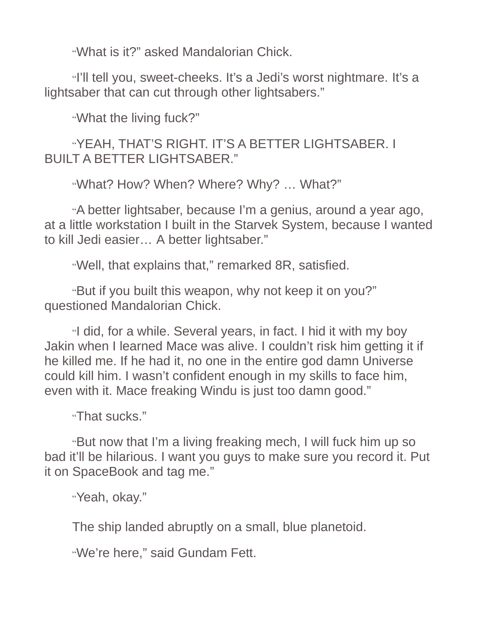"What is it?" asked Mandalorian Chick.

"I'll tell you, sweet-cheeks. It's a Jedi's worst nightmare. It's a lightsaber that can cut through other lightsabers."

"What the living fuck?"

"YEAH, THAT'S RIGHT. IT'S A BETTER LIGHTSABER. I BUILT A BETTER LIGHTSABER."

"What? How? When? Where? Why? … What?"

"A better lightsaber, because I'm a genius, around a year ago, at a little workstation I built in the Starvek System, because I wanted to kill Jedi easier… A better lightsaber."

"Well, that explains that," remarked 8R, satisfied.

"But if you built this weapon, why not keep it on you?" questioned Mandalorian Chick.

"I did, for a while. Several years, in fact. I hid it with my boy Jakin when I learned Mace was alive. I couldn't risk him getting it if he killed me. If he had it, no one in the entire god damn Universe could kill him. I wasn't confident enough in my skills to face him, even with it. Mace freaking Windu is just too damn good."

"That sucks."

"But now that I'm a living freaking mech, I will fuck him up so bad it'll be hilarious. I want you guys to make sure you record it. Put it on SpaceBook and tag me."

"Yeah, okay."

The ship landed abruptly on a small, blue planetoid.

"We're here," said Gundam Fett.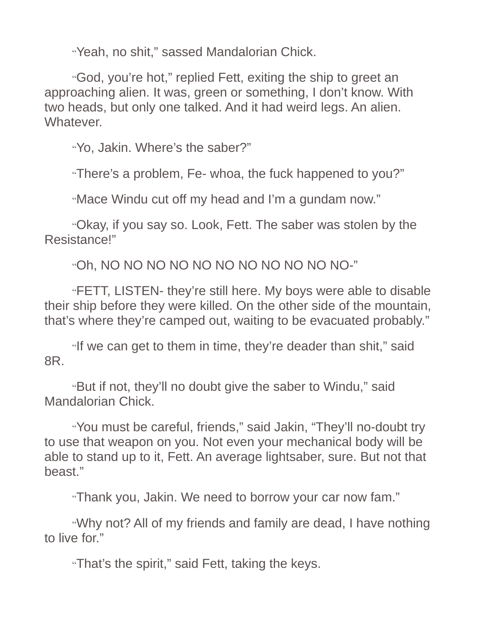"Yeah, no shit," sassed Mandalorian Chick.

"God, you're hot," replied Fett, exiting the ship to greet an approaching alien. It was, green or something, I don't know. With two heads, but only one talked. And it had weird legs. An alien. Whatever.

"Yo, Jakin. Where's the saber?"

"There's a problem, Fe- whoa, the fuck happened to you?"

"Mace Windu cut off my head and I'm a gundam now."

"Okay, if you say so. Look, Fett. The saber was stolen by the Resistance!"

"Oh, NO NO NO NO NO NO NO NO NO NO NO-"

"FETT, LISTEN- they're still here. My boys were able to disable their ship before they were killed. On the other side of the mountain, that's where they're camped out, waiting to be evacuated probably."

"If we can get to them in time, they're deader than shit," said 8R.

"But if not, they'll no doubt give the saber to Windu," said Mandalorian Chick.

"You must be careful, friends," said Jakin, "They'll no-doubt try to use that weapon on you. Not even your mechanical body will be able to stand up to it, Fett. An average lightsaber, sure. But not that beast."

"Thank you, Jakin. We need to borrow your car now fam."

"Why not? All of my friends and family are dead, I have nothing to live for."

"That's the spirit," said Fett, taking the keys.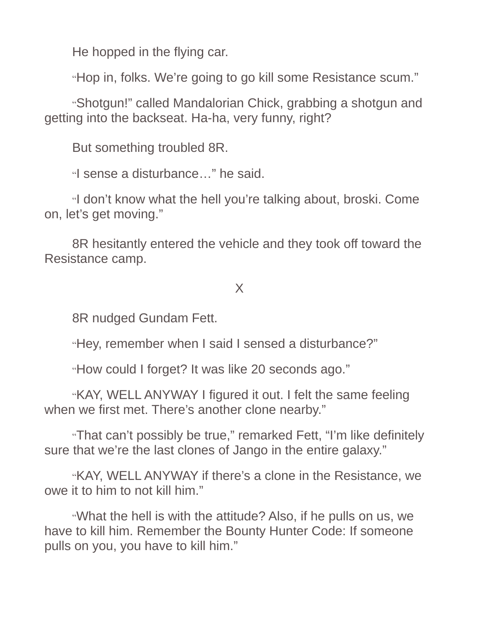He hopped in the flying car.

"Hop in, folks. We're going to go kill some Resistance scum."

"Shotgun!" called Mandalorian Chick, grabbing a shotgun and getting into the backseat. Ha-ha, very funny, right?

But something troubled 8R.

"I sense a disturbance…" he said.

"I don't know what the hell you're talking about, broski. Come on, let's get moving."

8R hesitantly entered the vehicle and they took off toward the Resistance camp.

# X

8R nudged Gundam Fett.

"Hey, remember when I said I sensed a disturbance?"

"How could I forget? It was like 20 seconds ago."

"KAY, WELL ANYWAY I figured it out. I felt the same feeling when we first met. There's another clone nearby."

"That can't possibly be true," remarked Fett, "I'm like definitely sure that we're the last clones of Jango in the entire galaxy."

"KAY, WELL ANYWAY if there's a clone in the Resistance, we owe it to him to not kill him."

"What the hell is with the attitude? Also, if he pulls on us, we have to kill him. Remember the Bounty Hunter Code: If someone pulls on you, you have to kill him."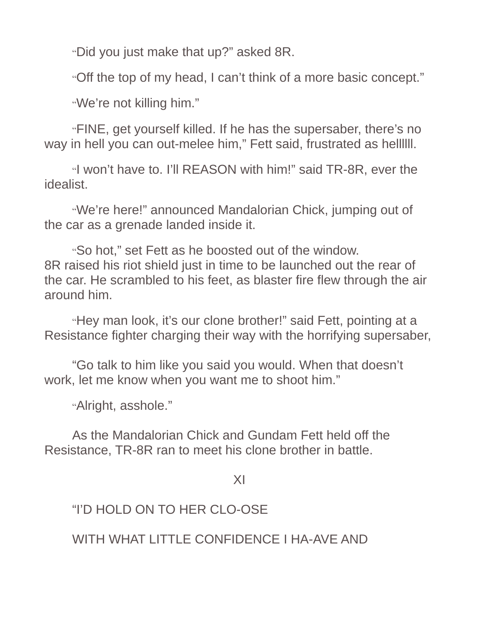"Did you just make that up?" asked 8R.

"Off the top of my head, I can't think of a more basic concept."

"We're not killing him."

"FINE, get yourself killed. If he has the supersaber, there's no way in hell you can out-melee him," Fett said, frustrated as hellllll.

"I won't have to. I'll REASON with him!" said TR-8R, ever the idealist.

"We're here!" announced Mandalorian Chick, jumping out of the car as a grenade landed inside it.

"So hot," set Fett as he boosted out of the window. 8R raised his riot shield just in time to be launched out the rear of the car. He scrambled to his feet, as blaster fire flew through the air around him.

"Hey man look, it's our clone brother!" said Fett, pointing at a Resistance fighter charging their way with the horrifying supersaber,

"Go talk to him like you said you would. When that doesn't work, let me know when you want me to shoot him."

"Alright, asshole."

As the Mandalorian Chick and Gundam Fett held off the Resistance, TR-8R ran to meet his clone brother in battle.

XI

"I'D HOLD ON TO HER CLO-OSE

WITH WHAT LITTLE CONFIDENCE I HA-AVE AND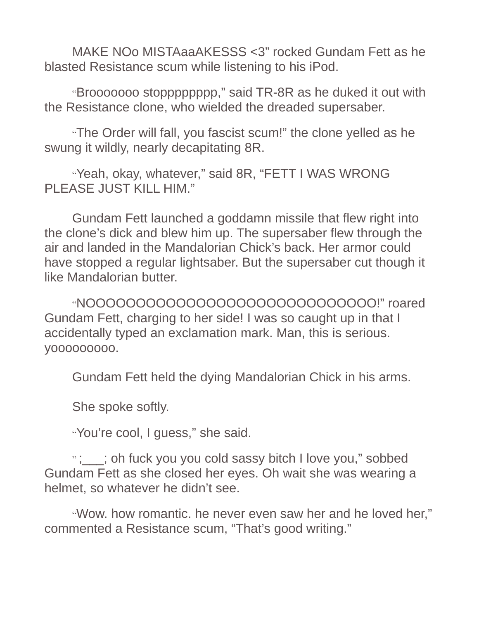MAKE NOo MISTAaaAKESSS <3" rocked Gundam Fett as he blasted Resistance scum while listening to his iPod.

"Brooooooo stopppppppp," said TR-8R as he duked it out with the Resistance clone, who wielded the dreaded supersaber.

"The Order will fall, you fascist scum!" the clone yelled as he swung it wildly, nearly decapitating 8R.

"Yeah, okay, whatever," said 8R, "FETT I WAS WRONG PLEASE JUST KILL HIM."

Gundam Fett launched a goddamn missile that flew right into the clone's dick and blew him up. The supersaber flew through the air and landed in the Mandalorian Chick's back. Her armor could have stopped a regular lightsaber. But the supersaber cut though it like Mandalorian butter.

"NOOOOOOOOOOOOOOOOOOOOOOOOOOOOO!" roared Gundam Fett, charging to her side! I was so caught up in that I accidentally typed an exclamation mark. Man, this is serious. yoooooooo.

Gundam Fett held the dying Mandalorian Chick in his arms.

She spoke softly.

"You're cool, I guess," she said.

"; ; ; oh fuck you you cold sassy bitch I love you," sobbed Gundam Fett as she closed her eyes. Oh wait she was wearing a helmet, so whatever he didn't see.

"Wow. how romantic. he never even saw her and he loved her," commented a Resistance scum, "That's good writing."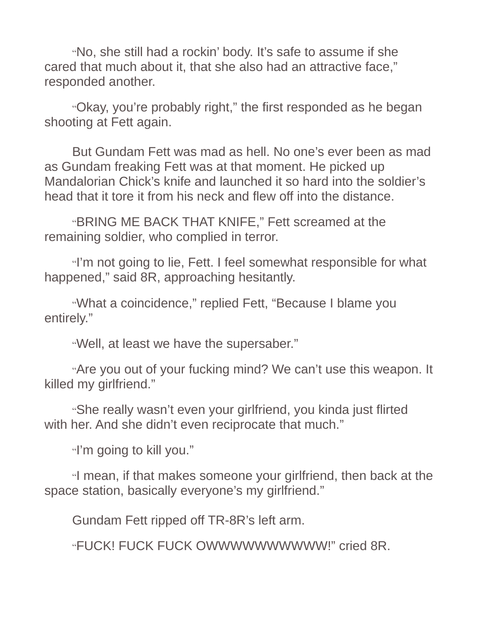"No, she still had a rockin' body. It's safe to assume if she cared that much about it, that she also had an attractive face," responded another.

"Okay, you're probably right," the first responded as he began shooting at Fett again.

But Gundam Fett was mad as hell. No one's ever been as mad as Gundam freaking Fett was at that moment. He picked up Mandalorian Chick's knife and launched it so hard into the soldier's head that it tore it from his neck and flew off into the distance.

"BRING ME BACK THAT KNIFE," Fett screamed at the remaining soldier, who complied in terror.

"I'm not going to lie, Fett. I feel somewhat responsible for what happened," said 8R, approaching hesitantly.

"What a coincidence," replied Fett, "Because I blame you entirely."

"Well, at least we have the supersaber."

"Are you out of your fucking mind? We can't use this weapon. It killed my girlfriend."

"She really wasn't even your girlfriend, you kinda just flirted with her. And she didn't even reciprocate that much."

"I'm going to kill you."

"I mean, if that makes someone your girlfriend, then back at the space station, basically everyone's my girlfriend."

Gundam Fett ripped off TR-8R's left arm.

"FUCK! FUCK FUCK OWWWWWWWWWW!" cried 8R.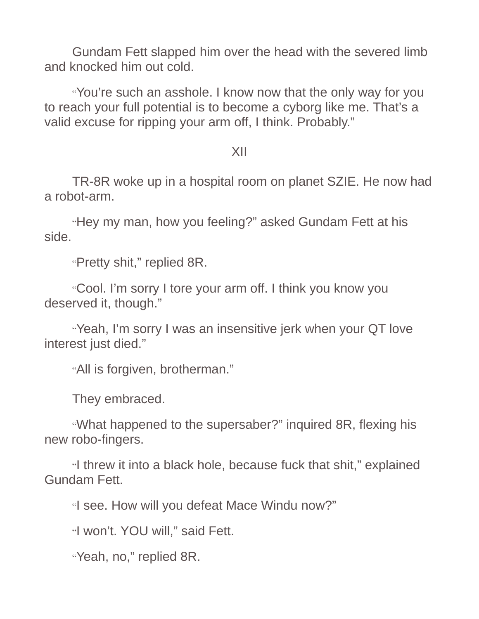Gundam Fett slapped him over the head with the severed limb and knocked him out cold.

"You're such an asshole. I know now that the only way for you to reach your full potential is to become a cyborg like me. That's a valid excuse for ripping your arm off, I think. Probably."

### XII

TR-8R woke up in a hospital room on planet SZIE. He now had a robot-arm.

"Hey my man, how you feeling?" asked Gundam Fett at his side.

"Pretty shit," replied 8R.

"Cool. I'm sorry I tore your arm off. I think you know you deserved it, though."

"Yeah, I'm sorry I was an insensitive jerk when your QT love interest just died."

"All is forgiven, brotherman."

They embraced.

"What happened to the supersaber?" inquired 8R, flexing his new robo-fingers.

"I threw it into a black hole, because fuck that shit," explained Gundam Fett.

"I see. How will you defeat Mace Windu now?"

"I won't. YOU will," said Fett.

"Yeah, no," replied 8R.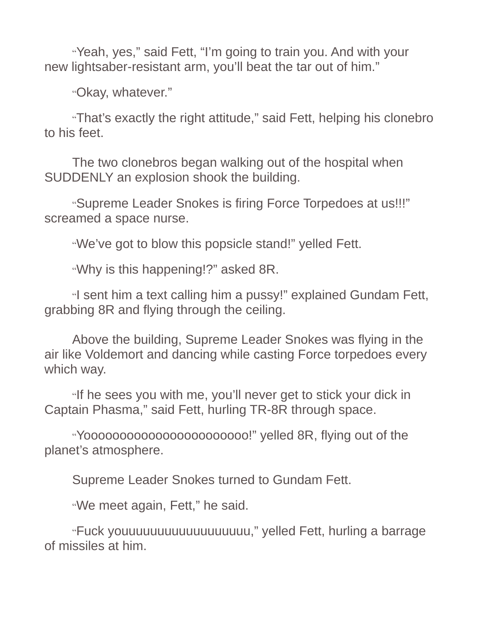"Yeah, yes," said Fett, "I'm going to train you. And with your new lightsaber-resistant arm, you'll beat the tar out of him."

"Okay, whatever."

"That's exactly the right attitude," said Fett, helping his clonebro to his feet.

The two clonebros began walking out of the hospital when SUDDENLY an explosion shook the building.

"Supreme Leader Snokes is firing Force Torpedoes at us!!!" screamed a space nurse.

"We've got to blow this popsicle stand!" yelled Fett.

"Why is this happening!?" asked 8R.

"I sent him a text calling him a pussy!" explained Gundam Fett, grabbing 8R and flying through the ceiling.

Above the building, Supreme Leader Snokes was flying in the air like Voldemort and dancing while casting Force torpedoes every which way.

"If he sees you with me, you'll never get to stick your dick in Captain Phasma," said Fett, hurling TR-8R through space.

"Yooooooooooooooooooooooo!" yelled 8R, flying out of the planet's atmosphere.

Supreme Leader Snokes turned to Gundam Fett.

"We meet again, Fett," he said.

"Fuck youuuuuuuuuuuuuuuuuu," yelled Fett, hurling a barrage of missiles at him.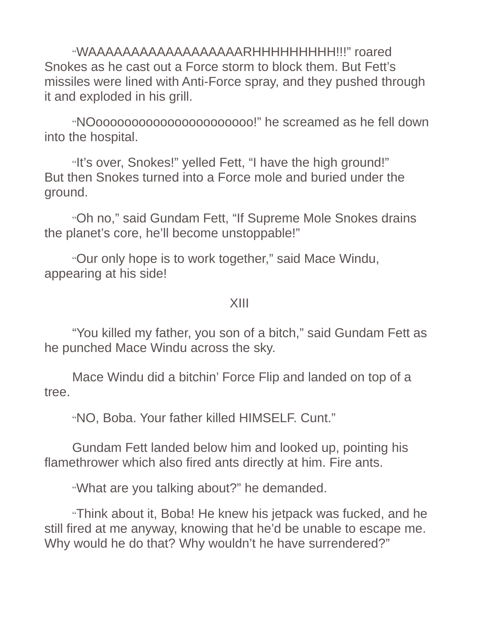"WAAAAAAAAAAAAAAAAAARHHHHHHHHH!!!" roared Snokes as he cast out a Force storm to block them. But Fett's missiles were lined with Anti-Force spray, and they pushed through it and exploded in his grill.

"NOoooooooooooooooooooooo!" he screamed as he fell down into the hospital.

"It's over, Snokes!" yelled Fett, "I have the high ground!" But then Snokes turned into a Force mole and buried under the ground.

"Oh no," said Gundam Fett, "If Supreme Mole Snokes drains the planet's core, he'll become unstoppable!"

"Our only hope is to work together," said Mace Windu, appearing at his side!

#### XIII

"You killed my father, you son of a bitch," said Gundam Fett as he punched Mace Windu across the sky.

Mace Windu did a bitchin' Force Flip and landed on top of a tree.

"NO, Boba. Your father killed HIMSELF. Cunt."

Gundam Fett landed below him and looked up, pointing his flamethrower which also fired ants directly at him. Fire ants.

"What are you talking about?" he demanded.

"Think about it, Boba! He knew his jetpack was fucked, and he still fired at me anyway, knowing that he'd be unable to escape me. Why would he do that? Why wouldn't he have surrendered?"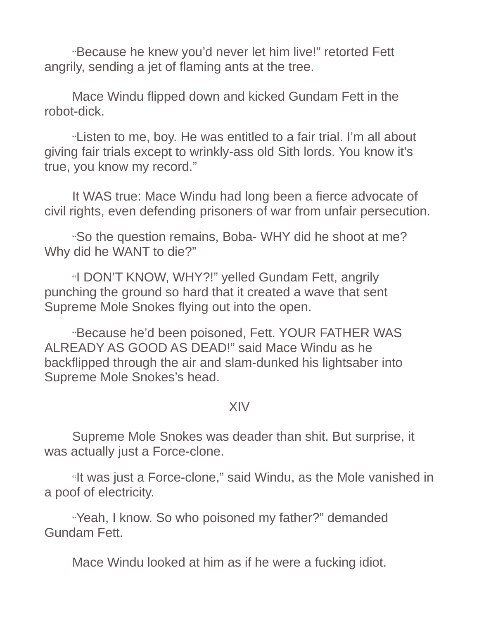"Because he knew you'd never let him live!" retorted Fett angrily, sending a jet of flaming ants at the tree.

Mace Windu flipped down and kicked Gundam Fett in the robot-dick.

"Listen to me, boy. He was entitled to a fair trial. I'm all about giving fair trials except to wrinkly-ass old Sith lords. You know it's true, you know my record."

It WAS true: Mace Windu had long been a fierce advocate of civil rights, even defending prisoners of war from unfair persecution.

"So the question remains, Boba- WHY did he shoot at me? Why did he WANT to die?"

"I DON'T KNOW, WHY?!" yelled Gundam Fett, angrily punching the ground so hard that it created a wave that sent Supreme Mole Snokes flying out into the open.

"Because he'd been poisoned, Fett. YOUR FATHER WAS ALREADY AS GOOD AS DEAD!" said Mace Windu as he backflipped through the air and slam-dunked his lightsaber into Supreme Mole Snokes's head.

### XIV

Supreme Mole Snokes was deader than shit. But surprise, it was actually just a Force-clone.

"It was just a Force-clone," said Windu, as the Mole vanished in a poof of electricity.

"Yeah, I know. So who poisoned my father?" demanded Gundam Fett.

Mace Windu looked at him as if he were a fucking idiot.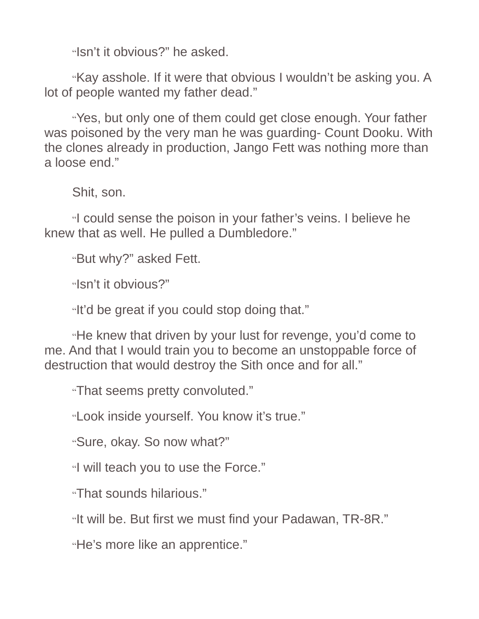"Isn't it obvious?" he asked.

"Kay asshole. If it were that obvious I wouldn't be asking you. A lot of people wanted my father dead."

"Yes, but only one of them could get close enough. Your father was poisoned by the very man he was guarding- Count Dooku. With the clones already in production, Jango Fett was nothing more than a loose end."

Shit, son.

"I could sense the poison in your father's veins. I believe he knew that as well. He pulled a Dumbledore."

"But why?" asked Fett.

"Isn't it obvious?"

"It'd be great if you could stop doing that."

"He knew that driven by your lust for revenge, you'd come to me. And that I would train you to become an unstoppable force of destruction that would destroy the Sith once and for all."

"That seems pretty convoluted."

"Look inside yourself. You know it's true."

"Sure, okay. So now what?"

"I will teach you to use the Force."

"That sounds hilarious."

"It will be. But first we must find your Padawan, TR-8R."

"He's more like an apprentice."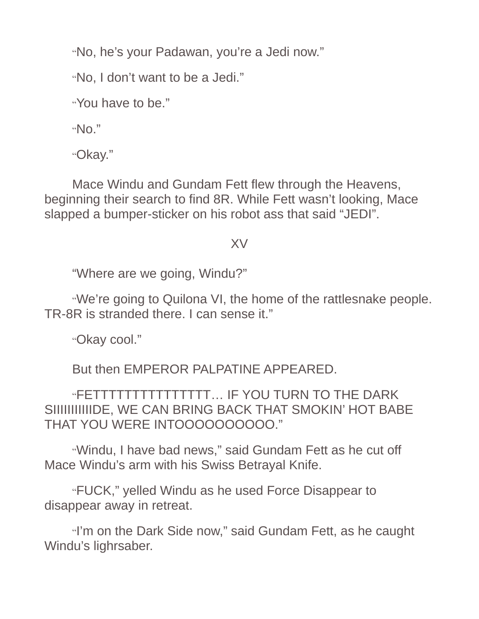"No, he's your Padawan, you're a Jedi now."

"No, I don't want to be a Jedi."

"You have to be."

" $N_0$ ."

"Okay."

Mace Windu and Gundam Fett flew through the Heavens, beginning their search to find 8R. While Fett wasn't looking, Mace slapped a bumper-sticker on his robot ass that said "JEDI".

### XV

"Where are we going, Windu?"

"We're going to Quilona VI, the home of the rattlesnake people. TR-8R is stranded there. I can sense it."

"Okay cool."

But then EMPEROR PALPATINE APPEARED.

"FETTTTTTTTTTTTTTT… IF YOU TURN TO THE DARK SIIIIIIIIIIIIDE, WE CAN BRING BACK THAT SMOKIN' HOT BABE THAT YOU WERE INTOOOOOOOOOO."

"Windu, I have bad news," said Gundam Fett as he cut off Mace Windu's arm with his Swiss Betrayal Knife.

"FUCK," yelled Windu as he used Force Disappear to disappear away in retreat.

"I'm on the Dark Side now," said Gundam Fett, as he caught Windu's lighrsaber.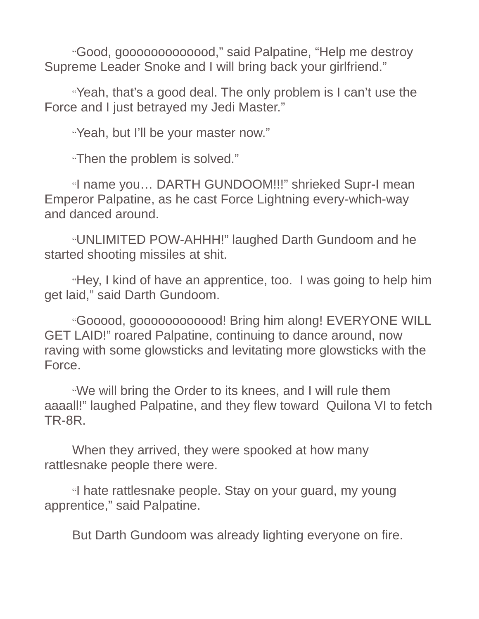"Good, gooooooooooood," said Palpatine, "Help me destroy Supreme Leader Snoke and I will bring back your girlfriend."

"Yeah, that's a good deal. The only problem is I can't use the Force and I just betrayed my Jedi Master."

"Yeah, but I'll be your master now."

"Then the problem is solved."

"I name you… DARTH GUNDOOM!!!" shrieked Supr-I mean Emperor Palpatine, as he cast Force Lightning every-which-way and danced around.

"UNLIMITED POW-AHHH!" laughed Darth Gundoom and he started shooting missiles at shit.

"Hey, I kind of have an apprentice, too. I was going to help him get laid," said Darth Gundoom.

"Gooood, goooooooooood! Bring him along! EVERYONE WILL GET LAID!" roared Palpatine, continuing to dance around, now raving with some glowsticks and levitating more glowsticks with the Force.

"We will bring the Order to its knees, and I will rule them aaaall!" laughed Palpatine, and they flew toward Quilona VI to fetch TR-8R.

When they arrived, they were spooked at how many rattlesnake people there were.

"I hate rattlesnake people. Stay on your guard, my young apprentice," said Palpatine.

But Darth Gundoom was already lighting everyone on fire.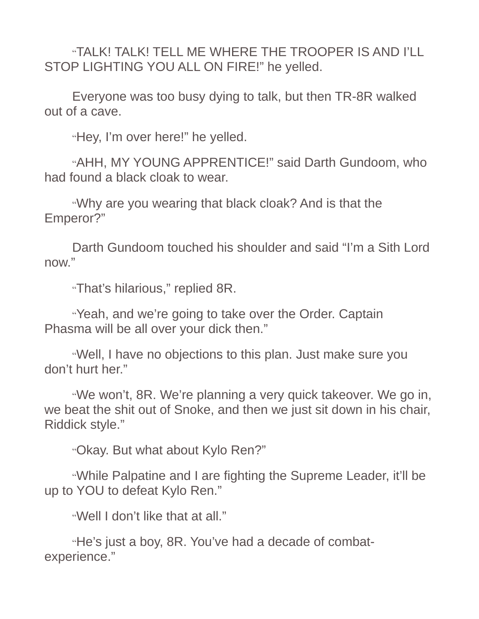"TALK! TALK! TELL ME WHERE THE TROOPER IS AND I'LL STOP LIGHTING YOU ALL ON FIRE!" he yelled.

Everyone was too busy dying to talk, but then TR-8R walked out of a cave.

"Hey, I'm over here!" he yelled.

"AHH, MY YOUNG APPRENTICE!" said Darth Gundoom, who had found a black cloak to wear.

"Why are you wearing that black cloak? And is that the Emperor?"

Darth Gundoom touched his shoulder and said "I'm a Sith Lord now."

"That's hilarious," replied 8R.

"Yeah, and we're going to take over the Order. Captain Phasma will be all over your dick then."

"Well, I have no objections to this plan. Just make sure you don't hurt her."

"We won't, 8R. We're planning a very quick takeover. We go in, we beat the shit out of Snoke, and then we just sit down in his chair, Riddick style."

"Okay. But what about Kylo Ren?"

"While Palpatine and I are fighting the Supreme Leader, it'll be up to YOU to defeat Kylo Ren."

"Well I don't like that at all."

"He's just a boy, 8R. You've had a decade of combatexperience."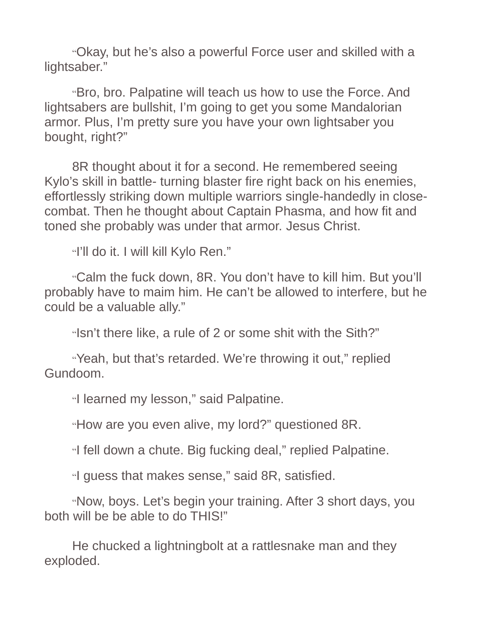"Okay, but he's also a powerful Force user and skilled with a lightsaber."

"Bro, bro. Palpatine will teach us how to use the Force. And lightsabers are bullshit, I'm going to get you some Mandalorian armor. Plus, I'm pretty sure you have your own lightsaber you bought, right?"

8R thought about it for a second. He remembered seeing Kylo's skill in battle- turning blaster fire right back on his enemies, effortlessly striking down multiple warriors single-handedly in closecombat. Then he thought about Captain Phasma, and how fit and toned she probably was under that armor. Jesus Christ.

"I'll do it. I will kill Kylo Ren."

"Calm the fuck down, 8R. You don't have to kill him. But you'll probably have to maim him. He can't be allowed to interfere, but he could be a valuable ally."

"Isn't there like, a rule of 2 or some shit with the Sith?"

"Yeah, but that's retarded. We're throwing it out," replied Gundoom.

"I learned my lesson," said Palpatine.

"How are you even alive, my lord?" questioned 8R.

"I fell down a chute. Big fucking deal," replied Palpatine.

"I guess that makes sense," said 8R, satisfied.

"Now, boys. Let's begin your training. After 3 short days, you both will be be able to do THIS!"

He chucked a lightningbolt at a rattlesnake man and they exploded.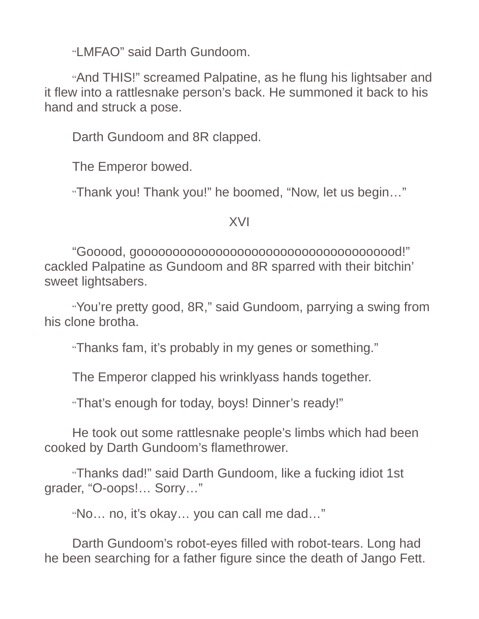"LMFAO" said Darth Gundoom.

"And THIS!" screamed Palpatine, as he flung his lightsaber and it flew into a rattlesnake person's back. He summoned it back to his hand and struck a pose.

Darth Gundoom and 8R clapped.

The Emperor bowed.

"Thank you! Thank you!" he boomed, "Now, let us begin…"

XVI

"Gooood, gooooooooooooooooooooooooooooooooooood!" cackled Palpatine as Gundoom and 8R sparred with their bitchin' sweet lightsabers.

"You're pretty good, 8R," said Gundoom, parrying a swing from his clone brotha.

"Thanks fam, it's probably in my genes or something."

The Emperor clapped his wrinklyass hands together.

"That's enough for today, boys! Dinner's ready!"

He took out some rattlesnake people's limbs which had been cooked by Darth Gundoom's flamethrower.

"Thanks dad!" said Darth Gundoom, like a fucking idiot 1st grader, "O-oops!… Sorry…"

"No… no, it's okay… you can call me dad…"

Darth Gundoom's robot-eyes filled with robot-tears. Long had he been searching for a father figure since the death of Jango Fett.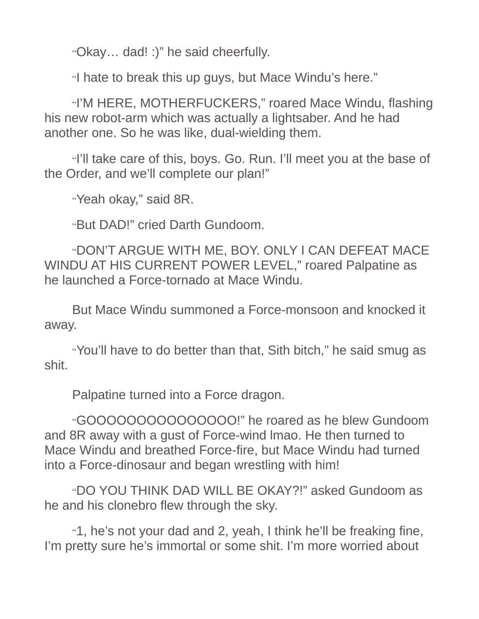"Okay… dad! :)" he said cheerfully.

"I hate to break this up guys, but Mace Windu's here."

"I'M HERE, MOTHERFUCKERS," roared Mace Windu, flashing his new robot-arm which was actually a lightsaber. And he had another one. So he was like, dual-wielding them.

"I'll take care of this, boys. Go. Run. I'll meet you at the base of the Order, and we'll complete our plan!"

"Yeah okay," said 8R.

"But DAD!" cried Darth Gundoom.

"DON'T ARGUE WITH ME, BOY. ONLY I CAN DEFEAT MACE WINDU AT HIS CURRENT POWER LEVEL," roared Palpatine as he launched a Force-tornado at Mace Windu.

But Mace Windu summoned a Force-monsoon and knocked it away.

"You'll have to do better than that, Sith bitch," he said smug as shit.

Palpatine turned into a Force dragon.

"GOOOOOOOOOOOOOOO!" he roared as he blew Gundoom and 8R away with a gust of Force-wind lmao. He then turned to Mace Windu and breathed Force-fire, but Mace Windu had turned into a Force-dinosaur and began wrestling with him!

"DO YOU THINK DAD WILL BE OKAY?!" asked Gundoom as he and his clonebro flew through the sky.

"1, he's not your dad and 2, yeah, I think he'll be freaking fine, I'm pretty sure he's immortal or some shit. I'm more worried about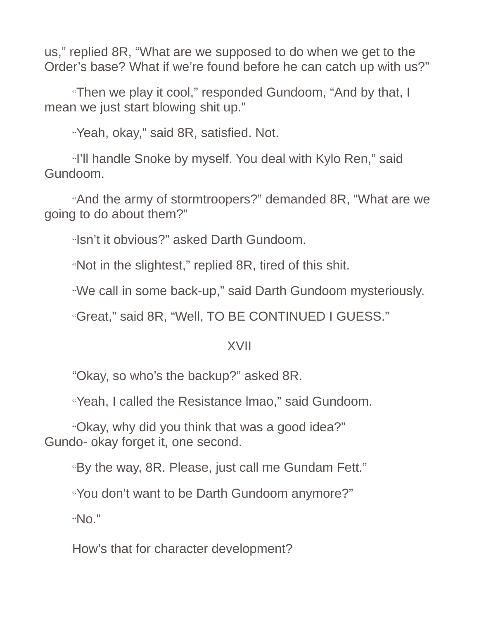us," replied 8R, "What are we supposed to do when we get to the Order's base? What if we're found before he can catch up with us?"

"Then we play it cool," responded Gundoom, "And by that, I mean we just start blowing shit up."

"Yeah, okay," said 8R, satisfied. Not.

"I'll handle Snoke by myself. You deal with Kylo Ren," said Gundoom.

"And the army of stormtroopers?" demanded 8R, "What are we going to do about them?"

"Isn't it obvious?" asked Darth Gundoom.

"Not in the slightest," replied 8R, tired of this shit.

"We call in some back-up," said Darth Gundoom mysteriously.

"Great," said 8R, "Well, TO BE CONTINUED I GUESS."

## XVII

"Okay, so who's the backup?" asked 8R.

"Yeah, I called the Resistance lmao," said Gundoom.

"Okay, why did you think that was a good idea?" Gundo- okay forget it, one second.

"By the way, 8R. Please, just call me Gundam Fett."

"You don't want to be Darth Gundoom anymore?"

"No."

How's that for character development?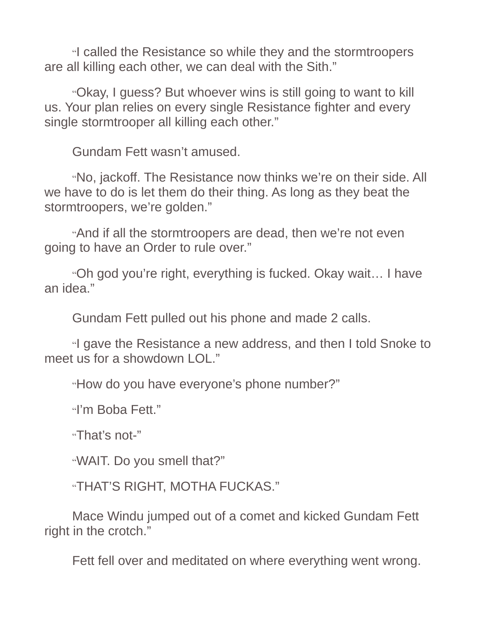"I called the Resistance so while they and the stormtroopers are all killing each other, we can deal with the Sith."

"Okay, I guess? But whoever wins is still going to want to kill us. Your plan relies on every single Resistance fighter and every single stormtrooper all killing each other."

Gundam Fett wasn't amused.

"No, jackoff. The Resistance now thinks we're on their side. All we have to do is let them do their thing. As long as they beat the stormtroopers, we're golden."

"And if all the stormtroopers are dead, then we're not even going to have an Order to rule over."

"Oh god you're right, everything is fucked. Okay wait… I have an idea."

Gundam Fett pulled out his phone and made 2 calls.

"I gave the Resistance a new address, and then I told Snoke to meet us for a showdown LOL."

"How do you have everyone's phone number?"

"I'm Boba Fett."

"That's not-"

"WAIT. Do you smell that?"

"THAT'S RIGHT, MOTHA FUCKAS."

Mace Windu jumped out of a comet and kicked Gundam Fett right in the crotch."

Fett fell over and meditated on where everything went wrong.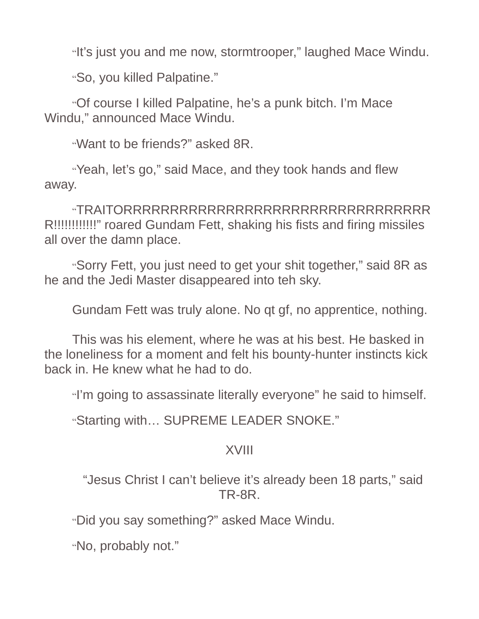"It's just you and me now, stormtrooper," laughed Mace Windu.

"So, you killed Palpatine."

"Of course I killed Palpatine, he's a punk bitch. I'm Mace Windu," announced Mace Windu.

"Want to be friends?" asked 8R.

"Yeah, let's go," said Mace, and they took hands and flew away.

"TRAITORRRRRRRRRRRRRRRRRRRRRRRRRRRRRRRRR R!!!!!!!!!!!!" roared Gundam Fett, shaking his fists and firing missiles all over the damn place.

"Sorry Fett, you just need to get your shit together," said 8R as he and the Jedi Master disappeared into teh sky.

Gundam Fett was truly alone. No qt gf, no apprentice, nothing.

This was his element, where he was at his best. He basked in the loneliness for a moment and felt his bounty-hunter instincts kick back in. He knew what he had to do.

"I'm going to assassinate literally everyone" he said to himself.

"Starting with… SUPREME LEADER SNOKE."

## XVIII

"Jesus Christ I can't believe it's already been 18 parts," said TR-8R.

"Did you say something?" asked Mace Windu.

"No, probably not."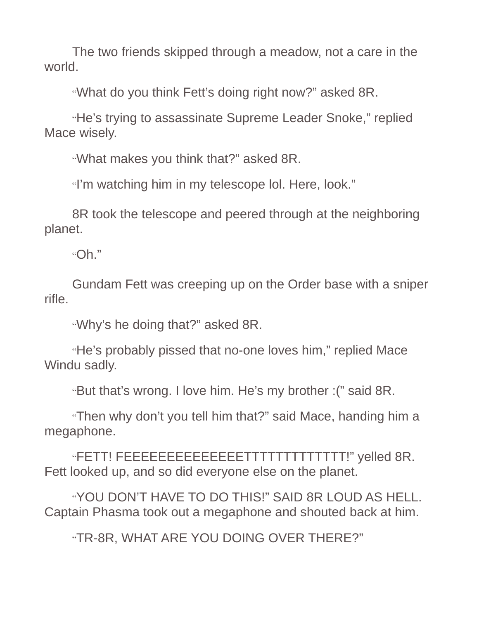The two friends skipped through a meadow, not a care in the world.

"What do you think Fett's doing right now?" asked 8R.

"He's trying to assassinate Supreme Leader Snoke," replied Mace wisely.

"What makes you think that?" asked 8R.

"I'm watching him in my telescope lol. Here, look."

8R took the telescope and peered through at the neighboring planet.

"Oh."

Gundam Fett was creeping up on the Order base with a sniper rifle.

"Why's he doing that?" asked 8R.

"He's probably pissed that no-one loves him," replied Mace Windu sadly.

"But that's wrong. I love him. He's my brother :(" said 8R.

"Then why don't you tell him that?" said Mace, handing him a megaphone.

"FETT! FEEEEEEEEEEEEEETTTTTTTTTTTTT!" yelled 8R. Fett looked up, and so did everyone else on the planet.

"YOU DON'T HAVE TO DO THIS!" SAID 8R LOUD AS HELL. Captain Phasma took out a megaphone and shouted back at him.

"TR-8R, WHAT ARE YOU DOING OVER THERE?"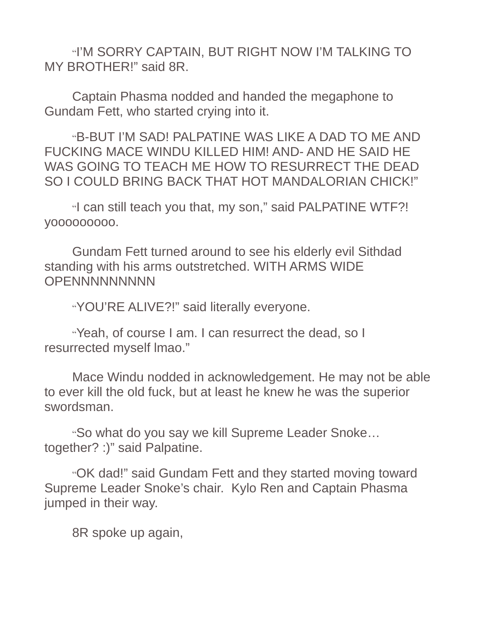"I'M SORRY CAPTAIN, BUT RIGHT NOW I'M TALKING TO MY BROTHER!" said 8R.

Captain Phasma nodded and handed the megaphone to Gundam Fett, who started crying into it.

"B-BUT I'M SAD! PALPATINE WAS LIKE A DAD TO ME AND FUCKING MACE WINDU KILLED HIM! AND- AND HE SAID HE WAS GOING TO TEACH ME HOW TO RESURRECT THE DEAD SO I COULD BRING BACK THAT HOT MANDALORIAN CHICK!"

"I can still teach you that, my son," said PALPATINE WTF?! yooooooooo.

Gundam Fett turned around to see his elderly evil Sithdad standing with his arms outstretched. WITH ARMS WIDE **OPENNNNNNNNN** 

"YOU'RE ALIVE?!" said literally everyone.

"Yeah, of course I am. I can resurrect the dead, so I resurrected myself lmao."

Mace Windu nodded in acknowledgement. He may not be able to ever kill the old fuck, but at least he knew he was the superior swordsman.

"So what do you say we kill Supreme Leader Snoke… together? :)" said Palpatine.

"OK dad!" said Gundam Fett and they started moving toward Supreme Leader Snoke's chair. Kylo Ren and Captain Phasma jumped in their way.

8R spoke up again,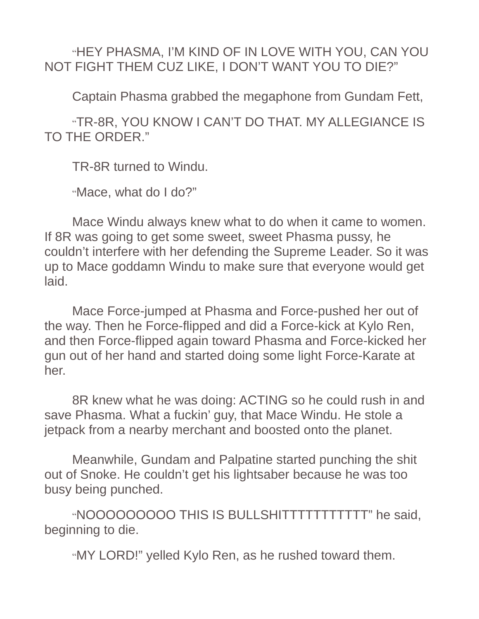"HEY PHASMA, I'M KIND OF IN LOVE WITH YOU, CAN YOU NOT FIGHT THEM CUZ LIKE, I DON'T WANT YOU TO DIE?"

Captain Phasma grabbed the megaphone from Gundam Fett,

"TR-8R, YOU KNOW I CAN'T DO THAT. MY ALLEGIANCE IS TO THE ORDER."

TR-8R turned to Windu.

"Mace, what do I do?"

Mace Windu always knew what to do when it came to women. If 8R was going to get some sweet, sweet Phasma pussy, he couldn't interfere with her defending the Supreme Leader. So it was up to Mace goddamn Windu to make sure that everyone would get laid.

Mace Force-jumped at Phasma and Force-pushed her out of the way. Then he Force-flipped and did a Force-kick at Kylo Ren, and then Force-flipped again toward Phasma and Force-kicked her gun out of her hand and started doing some light Force-Karate at her.

8R knew what he was doing: ACTING so he could rush in and save Phasma. What a fuckin' guy, that Mace Windu. He stole a jetpack from a nearby merchant and boosted onto the planet.

Meanwhile, Gundam and Palpatine started punching the shit out of Snoke. He couldn't get his lightsaber because he was too busy being punched.

"NOOOOOOOOO THIS IS BULLSHITTTTTTTTTTT" he said, beginning to die.

"MY LORD!" yelled Kylo Ren, as he rushed toward them.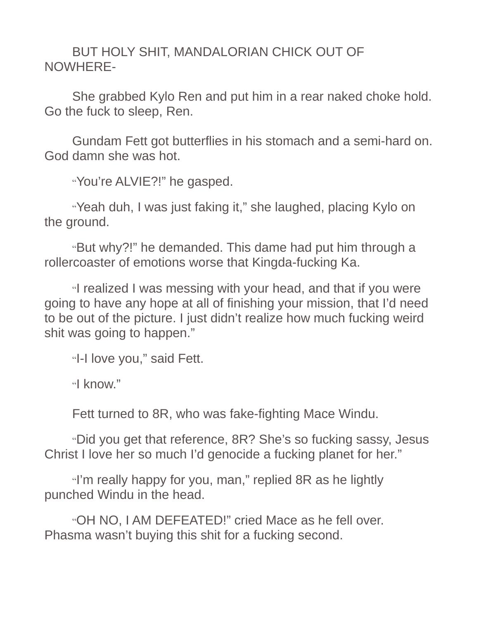BUT HOLY SHIT, MANDALORIAN CHICK OUT OF NOWHERE-

She grabbed Kylo Ren and put him in a rear naked choke hold. Go the fuck to sleep, Ren.

Gundam Fett got butterflies in his stomach and a semi-hard on. God damn she was hot.

"You're ALVIE?!" he gasped.

"Yeah duh, I was just faking it," she laughed, placing Kylo on the ground.

"But why?!" he demanded. This dame had put him through a rollercoaster of emotions worse that Kingda-fucking Ka.

"I realized I was messing with your head, and that if you were going to have any hope at all of finishing your mission, that I'd need to be out of the picture. I just didn't realize how much fucking weird shit was going to happen."

"I-I love you," said Fett.

"I know."

Fett turned to 8R, who was fake-fighting Mace Windu.

"Did you get that reference, 8R? She's so fucking sassy, Jesus Christ I love her so much I'd genocide a fucking planet for her."

"I'm really happy for you, man," replied 8R as he lightly punched Windu in the head.

"OH NO, I AM DEFEATED!" cried Mace as he fell over. Phasma wasn't buying this shit for a fucking second.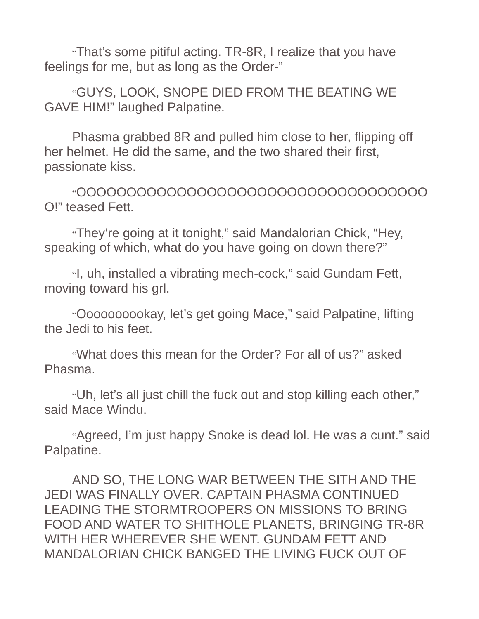"That's some pitiful acting. TR-8R, I realize that you have feelings for me, but as long as the Order-"

"GUYS, LOOK, SNOPE DIED FROM THE BEATING WE GAVE HIM!" laughed Palpatine.

Phasma grabbed 8R and pulled him close to her, flipping off her helmet. He did the same, and the two shared their first, passionate kiss.

"OOOOOOOOOOOOOOOOOOOOOOOOOOOOOOOOOOO O!" teased Fett.

"They're going at it tonight," said Mandalorian Chick, "Hey, speaking of which, what do you have going on down there?"

"I, uh, installed a vibrating mech-cock," said Gundam Fett, moving toward his grl.

"Oooooooookay, let's get going Mace," said Palpatine, lifting the Jedi to his feet.

"What does this mean for the Order? For all of us?" asked Phasma.

"Uh, let's all just chill the fuck out and stop killing each other," said Mace Windu.

"Agreed, I'm just happy Snoke is dead lol. He was a cunt." said Palpatine.

AND SO, THE LONG WAR BETWEEN THE SITH AND THE JEDI WAS FINALLY OVER. CAPTAIN PHASMA CONTINUED LEADING THE STORMTROOPERS ON MISSIONS TO BRING FOOD AND WATER TO SHITHOLE PLANETS, BRINGING TR-8R WITH HER WHEREVER SHE WENT. GUNDAM FETT AND MANDALORIAN CHICK BANGED THE LIVING FUCK OUT OF